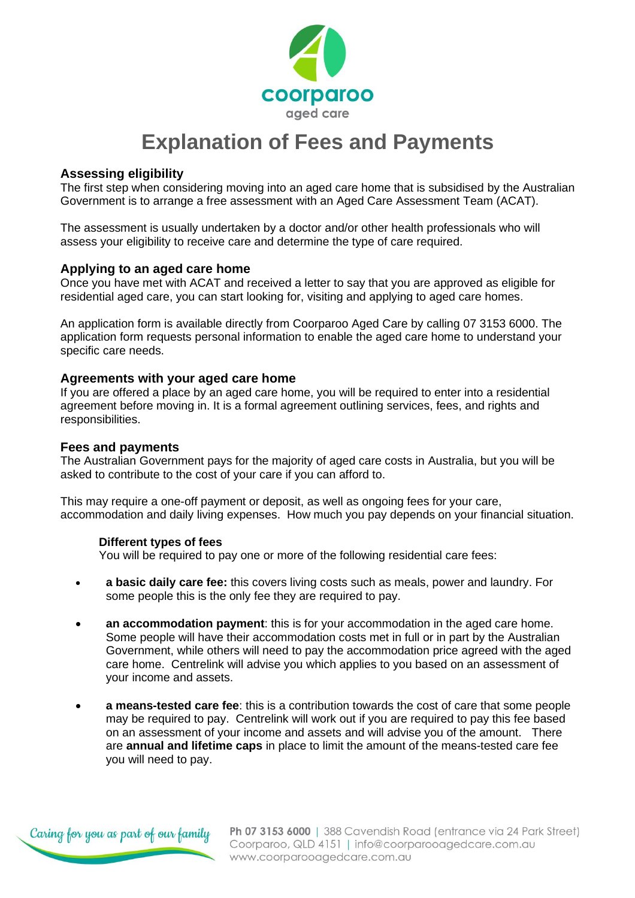

# **Explanation of Fees and Payments**

## **Assessing eligibility**

The first step when considering moving into an aged care home that is subsidised by the Australian Government is to arrange a free assessment with an [Aged Care Assessment Team](http://www.myagedcare.gov.au/acat-assessments) (ACAT).

The assessment is usually undertaken by a doctor and/or other health professionals who will assess your eligibility to receive care and determine the type of care required.

## **Applying to an aged care home**

Once you have met with ACAT and received a letter to say that you are approved as eligible for residential aged care, you can start looking for, visiting and applying to aged care homes.

An application form is available directly from Coorparoo Aged Care by calling 07 3153 6000. The application form requests personal information to enable the aged care home to understand your specific care needs.

#### **Agreements with your aged care home**

If you are offered a place by an aged care home, you will be required to enter into a residential agreement before moving in. It is a formal agreement outlining services, fees, and rights and responsibilities.

#### **Fees and payments**

The Australian Government pays for the majority of aged care costs in Australia, but you will be asked to contribute to the cost of your care if you can afford to.

This may require a one-off payment or deposit, as well as ongoing fees for your care, accommodation and daily living expenses. How much you pay depends on your financial situation.

#### **Different types of fees**

You will be required to pay one or more of the following residential care fees:

- **[a basic daily care fee:](http://www.myagedcare.gov.au/financial-and-legal/aged-care-homes-costs-explained)** this covers living costs such as meals, power and laundry. For some people this is the only fee they are required to pay.
- **[an accommodation payment](http://www.myagedcare.gov.au/aged-care-homes-costs-explained/accommodation-payments)**: this is for your accommodation in the aged care home. Some people will have their accommodation costs met in full or in part by the Australian Government, while others will need to pay the accommodation price agreed with the aged care home. Centrelink will advise you which applies to you based on an assessment of your income and assets.
- **[a means-tested care fee](http://www.myagedcare.gov.au/aged-care-homes-costs-explained/means-tested-care-fee)**: this is a contribution towards the cost of care that some people may be required to pay. Centrelink will work out if you are required to pay this fee based on an assessment of your income and assets and will advise you of the amount. There are **[annual and lifetime caps](http://www.myagedcare.gov.au/aged-care-home-costs-1-july-2014/aged-care-home-means-tested-care-fee-1-july-2014)** in place to limit the amount of the means-tested care fee you will need to pay.



Ph 07 3153 6000 | 388 Cavendish Road (entrance via 24 Park Street) Coorparoo, QLD 4151 | info@coorparooagedcare.com.au www.coorparooagedcare.com.au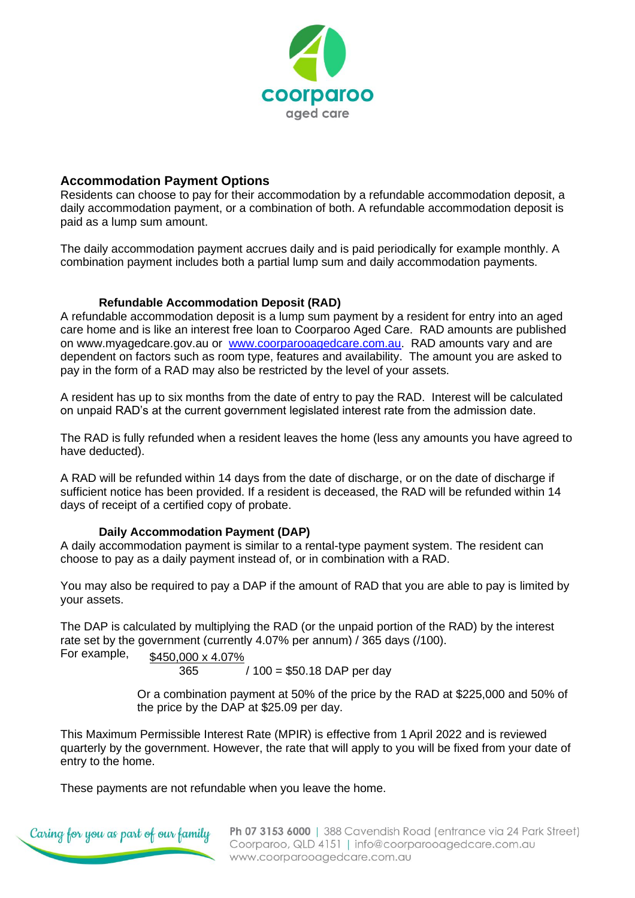

# **Accommodation Payment Options**

Residents can choose to pay for their accommodation by a refundable accommodation deposit, a daily accommodation payment, or a combination of both. A refundable accommodation deposit is paid as a lump sum amount.

The daily accommodation payment accrues daily and is paid periodically for example monthly. A combination payment includes both a partial lump sum and daily accommodation payments.

## **Refundable Accommodation Deposit (RAD)**

A refundable accommodation deposit is a lump sum payment by a resident for entry into an aged care home and is like an interest free loan to Coorparoo Aged Care. RAD amounts are published on [www.myagedcare.gov.au](http://www.myagedcare.gov.au/) or [www.coorparooagedcare.com.au.](http://www.coorparooagedcare.com.au/) RAD amounts vary and are dependent on factors such as room type, features and availability. The amount you are asked to pay in the form of a RAD may also be restricted by the level of your assets.

A resident has up to six months from the date of entry to pay the RAD. Interest will be calculated on unpaid RAD's at the current government legislated interest rate from the admission date.

The RAD is fully refunded when a resident leaves the home (less any amounts you have agreed to have deducted).

A RAD will be refunded within 14 days from the date of discharge, or on the date of discharge if sufficient notice has been provided. If a resident is deceased, the RAD will be refunded within 14 days of receipt of a certified copy of probate.

## **Daily Accommodation Payment (DAP)**

A daily accommodation payment is similar to a rental-type payment system. The resident can choose to pay as a daily payment instead of, or in combination with a RAD.

You may also be required to pay a DAP if the amount of RAD that you are able to pay is limited by your assets.

The DAP is calculated by multiplying the RAD (or the unpaid portion of the RAD) by the interest rate set by the government (currently 4.07% per annum) / 365 days (/100). For example,

\$450,000 x 4.07%

365 / 100 = \$50.18 DAP per day

Or a combination payment at 50% of the price by the RAD at \$225,000 and 50% of the price by the DAP at \$25.09 per day.

This Maximum Permissible Interest Rate (MPIR) is effective from 1 April 2022 and is reviewed quarterly by the government. However, the rate that will apply to you will be fixed from your date of entry to the home.

These payments are not refundable when you leave the home.